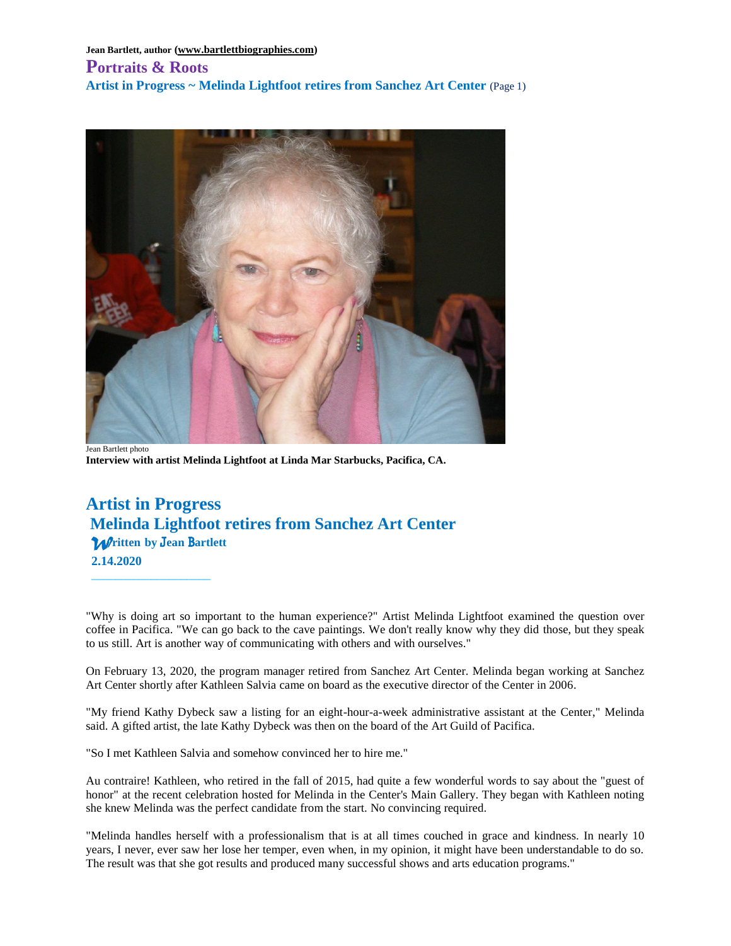# **Portraits & Roots Artist in Progress ~ Melinda Lightfoot retires from Sanchez Art Center** (Page 1)



Jean Bartlett photo **Interview with artist Melinda Lightfoot at Linda Mar Starbucks, Pacifica, CA.**

# **Artist in Progress Melinda Lightfoot retires from Sanchez Art Center** *W***ritten****by** J**ean**B**artlett** **2.14.2020**

\_\_\_\_\_\_\_\_\_\_\_\_\_\_\_\_\_\_\_\_

"Why is doing art so important to the human experience?" Artist Melinda Lightfoot examined the question over coffee in Pacifica. "We can go back to the cave paintings. We don't really know why they did those, but they speak to us still. Art is another way of communicating with others and with ourselves."

On February 13, 2020, the program manager retired from Sanchez Art Center. Melinda began working at Sanchez Art Center shortly after Kathleen Salvia came on board as the executive director of the Center in 2006.

"My friend Kathy Dybeck saw a listing for an eight-hour-a-week administrative assistant at the Center," Melinda said. A gifted artist, the late Kathy Dybeck was then on the board of the Art Guild of Pacifica.

"So I met Kathleen Salvia and somehow convinced her to hire me."

Au contraire! Kathleen, who retired in the fall of 2015, had quite a few wonderful words to say about the "guest of honor" at the recent celebration hosted for Melinda in the Center's Main Gallery. They began with Kathleen noting she knew Melinda was the perfect candidate from the start. No convincing required.

"Melinda handles herself with a professionalism that is at all times couched in grace and kindness. In nearly 10 years, I never, ever saw her lose her temper, even when, in my opinion, it might have been understandable to do so. The result was that she got results and produced many successful shows and arts education programs."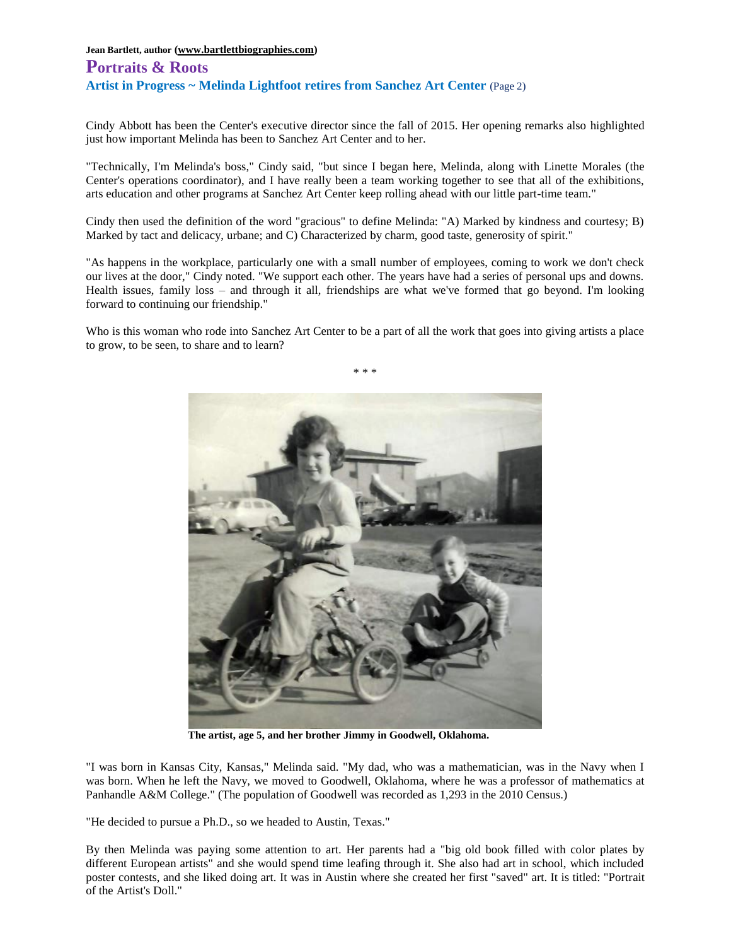# **Portraits & Roots Artist in Progress ~ Melinda Lightfoot retires from Sanchez Art Center** (Page 2)

Cindy Abbott has been the Center's executive director since the fall of 2015. Her opening remarks also highlighted just how important Melinda has been to Sanchez Art Center and to her.

"Technically, I'm Melinda's boss," Cindy said, "but since I began here, Melinda, along with Linette Morales (the Center's operations coordinator), and I have really been a team working together to see that all of the exhibitions, arts education and other programs at Sanchez Art Center keep rolling ahead with our little part-time team."

Cindy then used the definition of the word "gracious" to define Melinda: "A) Marked by kindness and courtesy; B) Marked by tact and delicacy, urbane; and C) Characterized by charm, good taste, generosity of spirit."

"As happens in the workplace, particularly one with a small number of employees, coming to work we don't check our lives at the door," Cindy noted. "We support each other. The years have had a series of personal ups and downs. Health issues, family loss – and through it all, friendships are what we've formed that go beyond. I'm looking forward to continuing our friendship."

Who is this woman who rode into Sanchez Art Center to be a part of all the work that goes into giving artists a place to grow, to be seen, to share and to learn?



**The artist, age 5, and her brother Jimmy in Goodwell, Oklahoma.**

"I was born in Kansas City, Kansas," Melinda said. "My dad, who was a mathematician, was in the Navy when I was born. When he left the Navy, we moved to Goodwell, Oklahoma, where he was a professor of mathematics at Panhandle A&M College." (The population of Goodwell was recorded as 1,293 in the 2010 Census.)

"He decided to pursue a Ph.D., so we headed to Austin, Texas."

By then Melinda was paying some attention to art. Her parents had a "big old book filled with color plates by different European artists" and she would spend time leafing through it. She also had art in school, which included poster contests, and she liked doing art. It was in Austin where she created her first "saved" art. It is titled: "Portrait of the Artist's Doll."

\* \* \*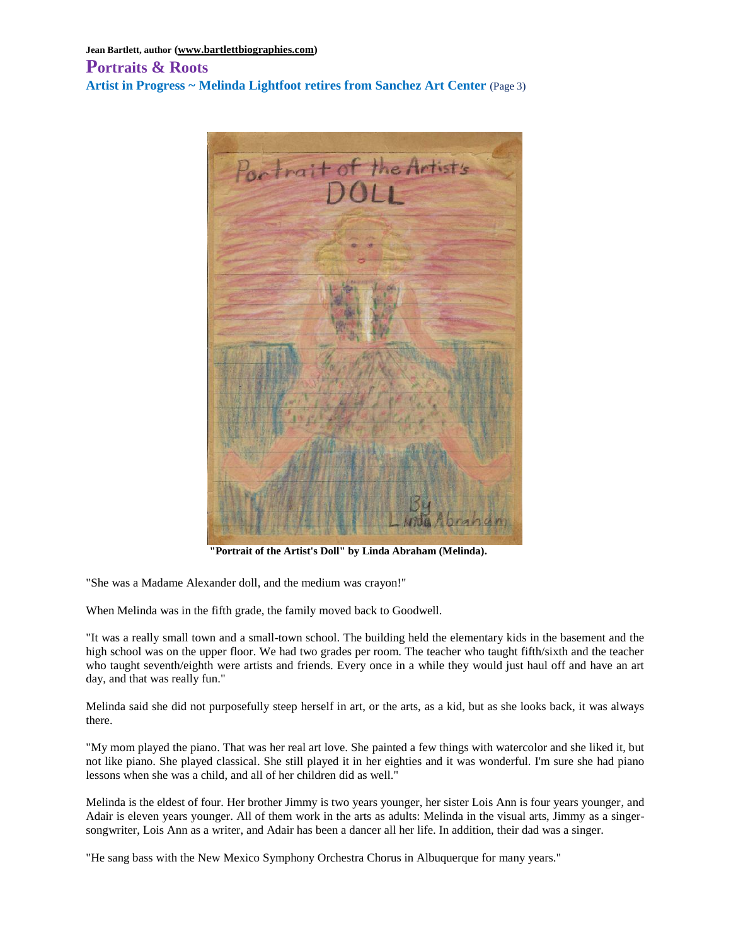## **Portraits & Roots Artist in Progress ~ Melinda Lightfoot retires from Sanchez Art Center** (Page 3)



**"Portrait of the Artist's Doll" by Linda Abraham (Melinda).**

"She was a Madame Alexander doll, and the medium was crayon!"

When Melinda was in the fifth grade, the family moved back to Goodwell.

"It was a really small town and a small-town school. The building held the elementary kids in the basement and the high school was on the upper floor. We had two grades per room. The teacher who taught fifth/sixth and the teacher who taught seventh/eighth were artists and friends. Every once in a while they would just haul off and have an art day, and that was really fun."

Melinda said she did not purposefully steep herself in art, or the arts, as a kid, but as she looks back, it was always there.

"My mom played the piano. That was her real art love. She painted a few things with watercolor and she liked it, but not like piano. She played classical. She still played it in her eighties and it was wonderful. I'm sure she had piano lessons when she was a child, and all of her children did as well."

Melinda is the eldest of four. Her brother Jimmy is two years younger, her sister Lois Ann is four years younger, and Adair is eleven years younger. All of them work in the arts as adults: Melinda in the visual arts, Jimmy as a singersongwriter, Lois Ann as a writer, and Adair has been a dancer all her life. In addition, their dad was a singer.

"He sang bass with the New Mexico Symphony Orchestra Chorus in Albuquerque for many years."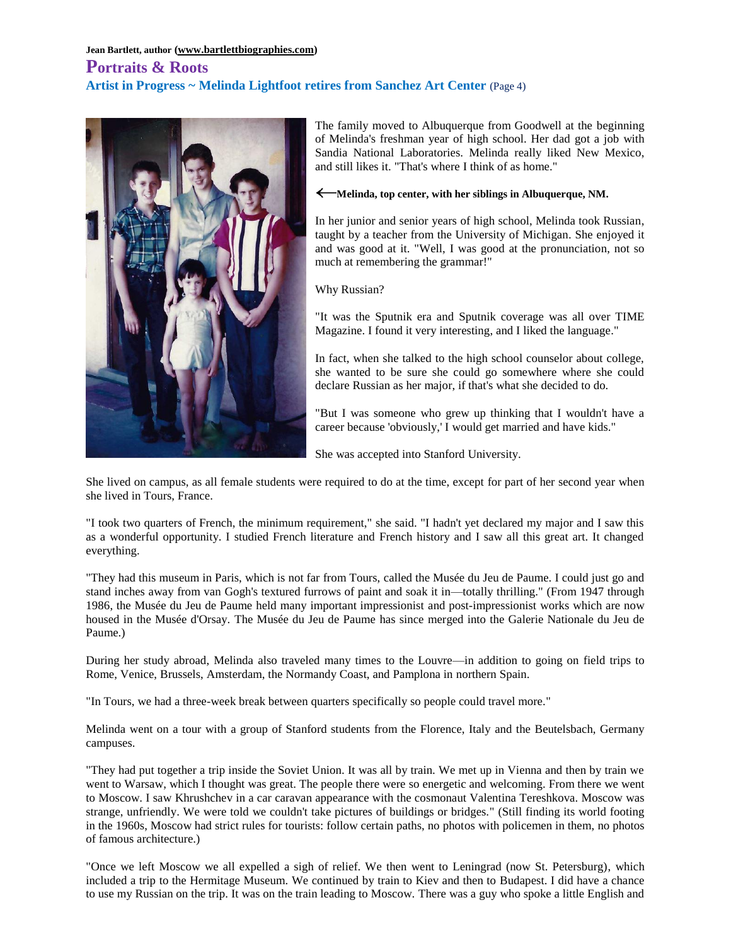# **Portraits & Roots Artist in Progress ~ Melinda Lightfoot retires from Sanchez Art Center** (Page 4)



The family moved to Albuquerque from Goodwell at the beginning of Melinda's freshman year of high school. Her dad got a job with Sandia National Laboratories. Melinda really liked New Mexico, and still likes it. "That's where I think of as home."

#### **Melinda, top center, with her siblings in Albuquerque, NM.**

In her junior and senior years of high school, Melinda took Russian, taught by a teacher from the University of Michigan. She enjoyed it and was good at it. "Well, I was good at the pronunciation, not so much at remembering the grammar!"

Why Russian?

"It was the Sputnik era and Sputnik coverage was all over TIME Magazine. I found it very interesting, and I liked the language."

In fact, when she talked to the high school counselor about college, she wanted to be sure she could go somewhere where she could declare Russian as her major, if that's what she decided to do.

"But I was someone who grew up thinking that I wouldn't have a career because 'obviously,' I would get married and have kids."

She was accepted into Stanford University.

She lived on campus, as all female students were required to do at the time, except for part of her second year when she lived in Tours, France.

"I took two quarters of French, the minimum requirement," she said. "I hadn't yet declared my major and I saw this as a wonderful opportunity. I studied French literature and French history and I saw all this great art. It changed everything.

"They had this museum in Paris, which is not far from Tours, called the Musée du Jeu de Paume. I could just go and stand inches away from van Gogh's textured furrows of paint and soak it in—totally thrilling." (From 1947 through 1986, the Musée du Jeu de Paume held many important impressionist and post-impressionist works which are now housed in the Musée d'Orsay. The Musée du Jeu de Paume has since merged into the Galerie Nationale du Jeu de Paume.)

During her study abroad, Melinda also traveled many times to the Louvre—in addition to going on field trips to Rome, Venice, Brussels, Amsterdam, the Normandy Coast, and Pamplona in northern Spain.

"In Tours, we had a three-week break between quarters specifically so people could travel more."

Melinda went on a tour with a group of Stanford students from the Florence, Italy and the Beutelsbach, Germany campuses.

"They had put together a trip inside the Soviet Union. It was all by train. We met up in Vienna and then by train we went to Warsaw, which I thought was great. The people there were so energetic and welcoming. From there we went to Moscow. I saw Khrushchev in a car caravan appearance with the cosmonaut Valentina Tereshkova. Moscow was strange, unfriendly. We were told we couldn't take pictures of buildings or bridges." (Still finding its world footing in the 1960s, Moscow had strict rules for tourists: follow certain paths, no photos with policemen in them, no photos of famous architecture.)

"Once we left Moscow we all expelled a sigh of relief. We then went to Leningrad (now St. Petersburg), which included a trip to the Hermitage Museum. We continued by train to Kiev and then to Budapest. I did have a chance to use my Russian on the trip. It was on the train leading to Moscow. There was a guy who spoke a little English and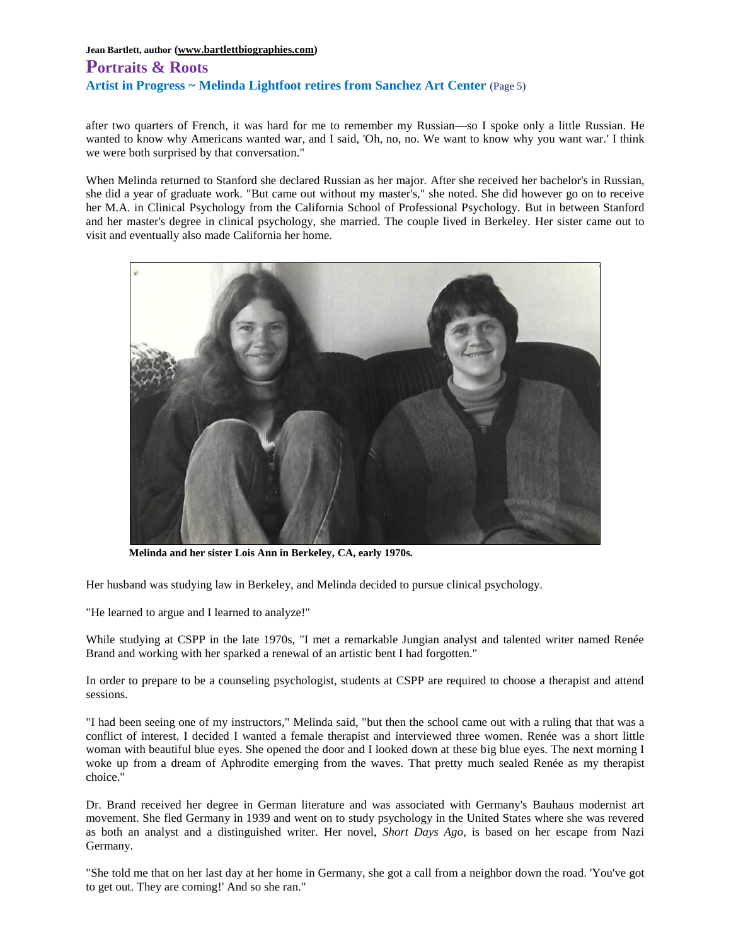# **Portraits & Roots Artist in Progress ~ Melinda Lightfoot retires from Sanchez Art Center** (Page 5)

after two quarters of French, it was hard for me to remember my Russian—so I spoke only a little Russian. He wanted to know why Americans wanted war, and I said, 'Oh, no, no. We want to know why you want war.' I think we were both surprised by that conversation."

When Melinda returned to Stanford she declared Russian as her major. After she received her bachelor's in Russian, she did a year of graduate work. "But came out without my master's," she noted. She did however go on to receive her M.A. in Clinical Psychology from the California School of Professional Psychology. But in between Stanford and her master's degree in clinical psychology, she married. The couple lived in Berkeley. Her sister came out to visit and eventually also made California her home.



**Melinda and her sister Lois Ann in Berkeley, CA, early 1970s.**

Her husband was studying law in Berkeley, and Melinda decided to pursue clinical psychology.

"He learned to argue and I learned to analyze!"

While studying at CSPP in the late 1970s, "I met a remarkable Jungian analyst and talented writer named Renée Brand and working with her sparked a renewal of an artistic bent I had forgotten."

In order to prepare to be a counseling psychologist, students at CSPP are required to choose a therapist and attend sessions.

"I had been seeing one of my instructors," Melinda said, "but then the school came out with a ruling that that was a conflict of interest. I decided I wanted a female therapist and interviewed three women. Renée was a short little woman with beautiful blue eyes. She opened the door and I looked down at these big blue eyes. The next morning I woke up from a dream of Aphrodite emerging from the waves. That pretty much sealed Renée as my therapist choice."

Dr. Brand received her degree in German literature and was associated with Germany's Bauhaus modernist art movement. She fled Germany in 1939 and went on to study psychology in the United States where she was revered as both an analyst and a distinguished writer. Her novel, *Short Days Ago*, is based on her escape from Nazi Germany.

"She told me that on her last day at her home in Germany, she got a call from a neighbor down the road. 'You've got to get out. They are coming!' And so she ran."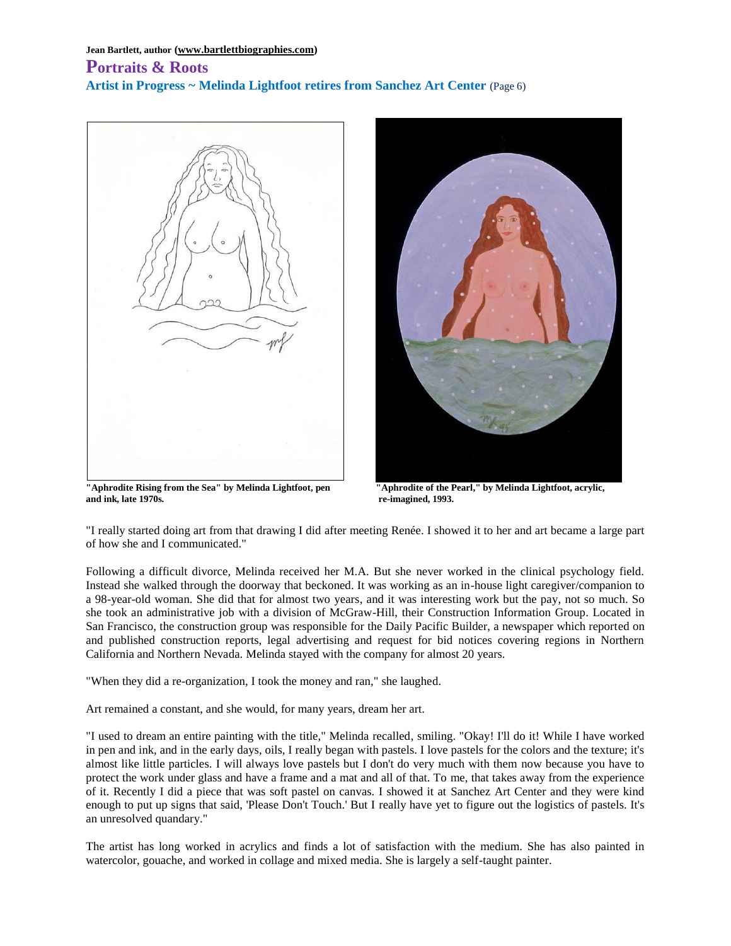### **Portraits & Roots Artist in Progress ~ Melinda Lightfoot retires from Sanchez Art Center** (Page 6)



**"Aphrodite Rising from the Sea" by Melinda Lightfoot, pen "Aphrodite of the Pearl," by Melinda Lightfoot, acrylic, and ink, late 1970s. re-imagined, 1993.**



"I really started doing art from that drawing I did after meeting Renée. I showed it to her and art became a large part of how she and I communicated."

Following a difficult divorce, Melinda received her M.A. But she never worked in the clinical psychology field. Instead she walked through the doorway that beckoned. It was working as an in-house light caregiver/companion to a 98-year-old woman. She did that for almost two years, and it was interesting work but the pay, not so much. So she took an administrative job with a division of McGraw-Hill, their Construction Information Group. Located in San Francisco, the construction group was responsible for the Daily Pacific Builder, a newspaper which reported on and published construction reports, legal advertising and request for bid notices covering regions in Northern California and Northern Nevada. Melinda stayed with the company for almost 20 years.

"When they did a re-organization, I took the money and ran," she laughed.

Art remained a constant, and she would, for many years, dream her art.

"I used to dream an entire painting with the title," Melinda recalled, smiling. "Okay! I'll do it! While I have worked in pen and ink, and in the early days, oils, I really began with pastels. I love pastels for the colors and the texture; it's almost like little particles. I will always love pastels but I don't do very much with them now because you have to protect the work under glass and have a frame and a mat and all of that. To me, that takes away from the experience of it. Recently I did a piece that was soft pastel on canvas. I showed it at Sanchez Art Center and they were kind enough to put up signs that said, 'Please Don't Touch.' But I really have yet to figure out the logistics of pastels. It's an unresolved quandary."

The artist has long worked in acrylics and finds a lot of satisfaction with the medium. She has also painted in watercolor, gouache, and worked in collage and mixed media. She is largely a self-taught painter.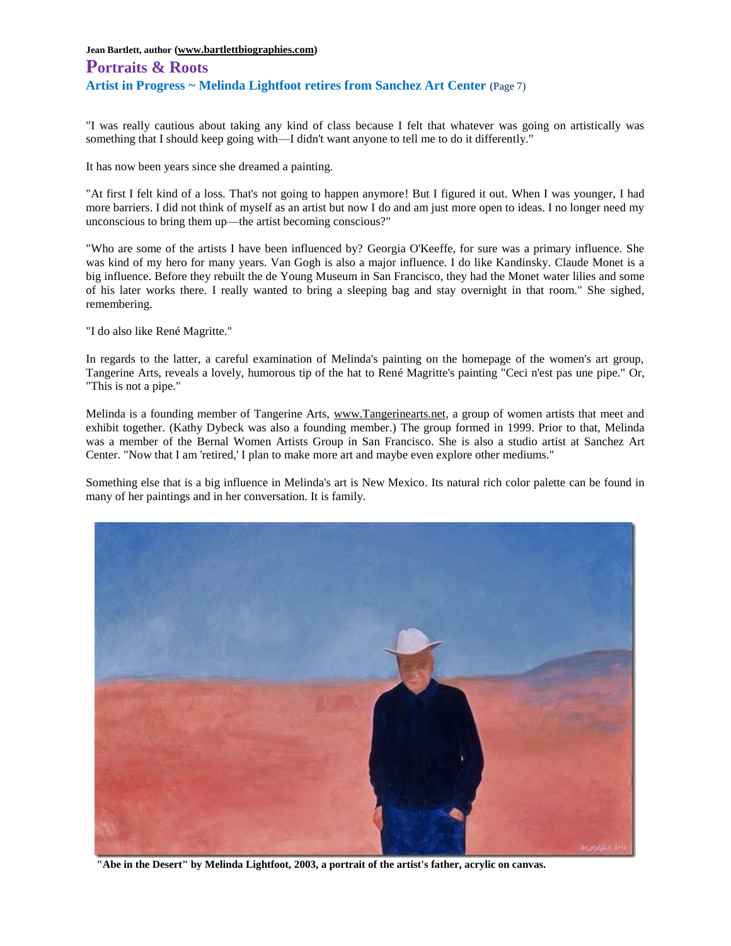# **Portraits & Roots Artist in Progress ~ Melinda Lightfoot retires from Sanchez Art Center** (Page 7)

"I was really cautious about taking any kind of class because I felt that whatever was going on artistically was something that I should keep going with—I didn't want anyone to tell me to do it differently."

It has now been years since she dreamed a painting.

"At first I felt kind of a loss. That's not going to happen anymore! But I figured it out. When I was younger, I had more barriers. I did not think of myself as an artist but now I do and am just more open to ideas. I no longer need my unconscious to bring them up—the artist becoming conscious?"

"Who are some of the artists I have been influenced by? Georgia O'Keeffe, for sure was a primary influence. She was kind of my hero for many years. Van Gogh is also a major influence. I do like Kandinsky. Claude Monet is a big influence. Before they rebuilt the de Young Museum in San Francisco, they had the Monet water lilies and some of his later works there. I really wanted to bring a sleeping bag and stay overnight in that room." She sighed, remembering.

"I do also like René Magritte."

In regards to the latter, a careful examination of Melinda's painting on the homepage of the women's art group, Tangerine Arts, reveals a lovely, humorous tip of the hat to René Magritte's painting "Ceci n'est pas une pipe." Or, "This is not a pipe."

Melinda is a founding member of Tangerine Arts, [www.Tangerinearts.net,](http://www.tangerinearts.net/) a group of women artists that meet and exhibit together. (Kathy Dybeck was also a founding member.) The group formed in 1999. Prior to that, Melinda was a member of the Bernal Women Artists Group in San Francisco. She is also a studio artist at Sanchez Art Center. "Now that I am 'retired,' I plan to make more art and maybe even explore other mediums."

Something else that is a big influence in Melinda's art is New Mexico. Its natural rich color palette can be found in many of her paintings and in her conversation. It is family.



**"Abe in the Desert" by Melinda Lightfoot, 2003, a portrait of the artist's father, acrylic on canvas.**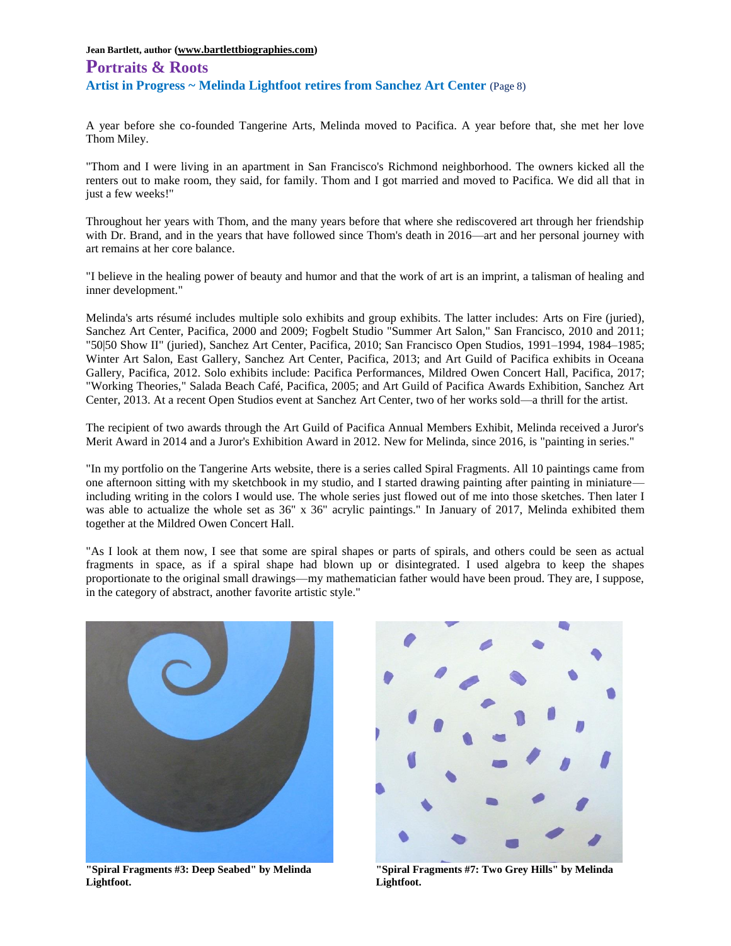# **Portraits & Roots Artist in Progress ~ Melinda Lightfoot retires from Sanchez Art Center** (Page 8)

A year before she co-founded Tangerine Arts, Melinda moved to Pacifica. A year before that, she met her love Thom Miley.

"Thom and I were living in an apartment in San Francisco's Richmond neighborhood. The owners kicked all the renters out to make room, they said, for family. Thom and I got married and moved to Pacifica. We did all that in just a few weeks!"

Throughout her years with Thom, and the many years before that where she rediscovered art through her friendship with Dr. Brand, and in the years that have followed since Thom's death in 2016—art and her personal journey with art remains at her core balance.

"I believe in the healing power of beauty and humor and that the work of art is an imprint, a talisman of healing and inner development."

Melinda's arts résumé includes multiple solo exhibits and group exhibits. The latter includes: Arts on Fire (juried), Sanchez Art Center, Pacifica, 2000 and 2009; Fogbelt Studio "Summer Art Salon," San Francisco, 2010 and 2011; "50|50 Show II" (juried), Sanchez Art Center, Pacifica, 2010; San Francisco Open Studios, 1991–1994, 1984–1985; Winter Art Salon, East Gallery, Sanchez Art Center, Pacifica, 2013; and Art Guild of Pacifica exhibits in Oceana Gallery, Pacifica, 2012. Solo exhibits include: Pacifica Performances, Mildred Owen Concert Hall, Pacifica, 2017; "Working Theories," Salada Beach Café, Pacifica, 2005; and Art Guild of Pacifica Awards Exhibition, Sanchez Art Center, 2013. At a recent Open Studios event at Sanchez Art Center, two of her works sold—a thrill for the artist.

The recipient of two awards through the Art Guild of Pacifica Annual Members Exhibit, Melinda received a Juror's Merit Award in 2014 and a Juror's Exhibition Award in 2012. New for Melinda, since 2016, is "painting in series."

"In my portfolio on the Tangerine Arts website, there is a series called Spiral Fragments. All 10 paintings came from one afternoon sitting with my sketchbook in my studio, and I started drawing painting after painting in miniature including writing in the colors I would use. The whole series just flowed out of me into those sketches. Then later I was able to actualize the whole set as 36" x 36" acrylic paintings." In January of 2017, Melinda exhibited them together at the Mildred Owen Concert Hall.

"As I look at them now, I see that some are spiral shapes or parts of spirals, and others could be seen as actual fragments in space, as if a spiral shape had blown up or disintegrated. I used algebra to keep the shapes proportionate to the original small drawings—my mathematician father would have been proud. They are, I suppose, in the category of abstract, another favorite artistic style."



**Lightfoot. Lightfoot.**



**"Spiral Fragments #3: Deep Seabed" by Melinda "Spiral Fragments #7: Two Grey Hills" by Melinda**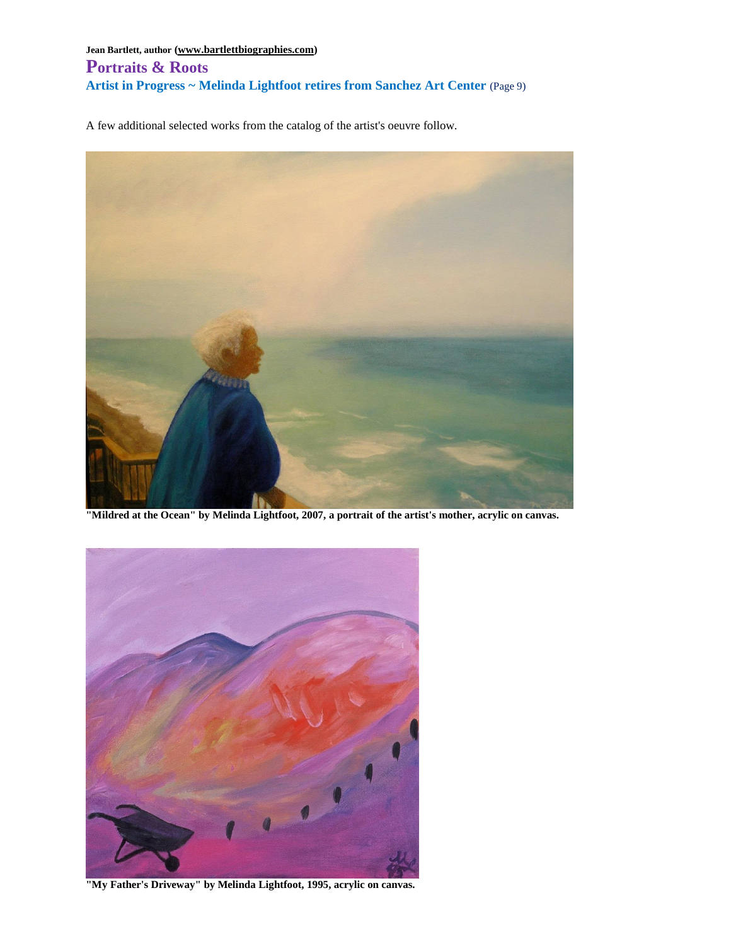**Jean Bartlett, author [\(www.bartlettbiographies.com\)](http://www.bartlettbiographies.com/) Portraits & Roots Artist in Progress ~ Melinda Lightfoot retires from Sanchez Art Center** (Page 9)

A few additional selected works from the catalog of the artist's oeuvre follow.



**"Mildred at the Ocean" by Melinda Lightfoot, 2007, a portrait of the artist's mother, acrylic on canvas.**



**"My Father's Driveway" by Melinda Lightfoot, 1995, acrylic on canvas.**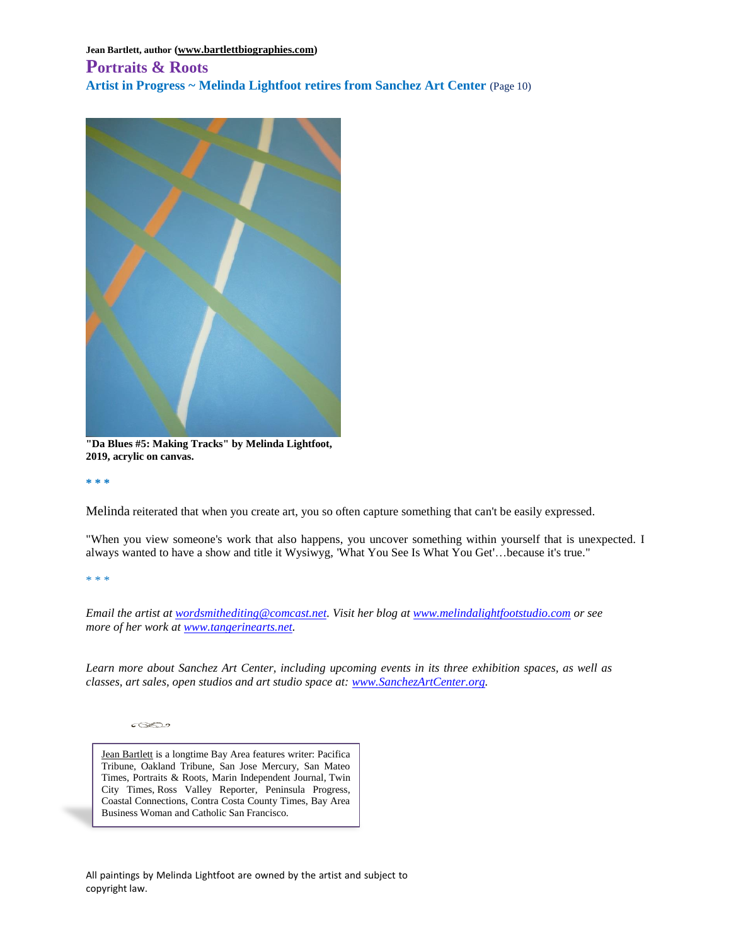## **Portraits & Roots Artist in Progress ~ Melinda Lightfoot retires from Sanchez Art Center** (Page 10)



**"Da Blues #5: Making Tracks" by Melinda Lightfoot, 2019, acrylic on canvas.**

**\* \* \***

Melinda reiterated that when you create art, you so often capture something that can't be easily expressed.

"When you view someone's work that also happens, you uncover something within yourself that is unexpected. I always wanted to have a show and title it Wysiwyg, 'What You See Is What You Get'…because it's true."

\* \* \*

*Email the artist at [wordsmithediting@comcast.net.](mailto:wordsmithediting@comcast.net) Visit her blog at [www.melindalightfootstudio.com](http://www.melindalightfootstudio.com/) or see more of her work at [www.tangerinearts.net.](http://www.tangerinearts.net/)*

*Learn more about Sanchez Art Center, including upcoming events in its three exhibition spaces, as well as classes, art sales, open studios and art studio space at: [www.SanchezArtCenter.org.](http://www.sanchezartcenter.org/)*

 $\sqrt{2}$ 

[Jean Bartlett](https://www.bartlettbiographies.com/about) is a longtime Bay Area features writer: Pacifica Tribune, Oakland Tribune, San Jose Mercury, San Mateo Times, Portraits & Roots, Marin Independent Journal, Twin City Times, Ross Valley Reporter, Peninsula Progress, Coastal Connections, Contra Costa County Times, Bay Area Business Woman and Catholic San Francisco.

All paintings by Melinda Lightfoot are owned by the artist and subject to copyright law.